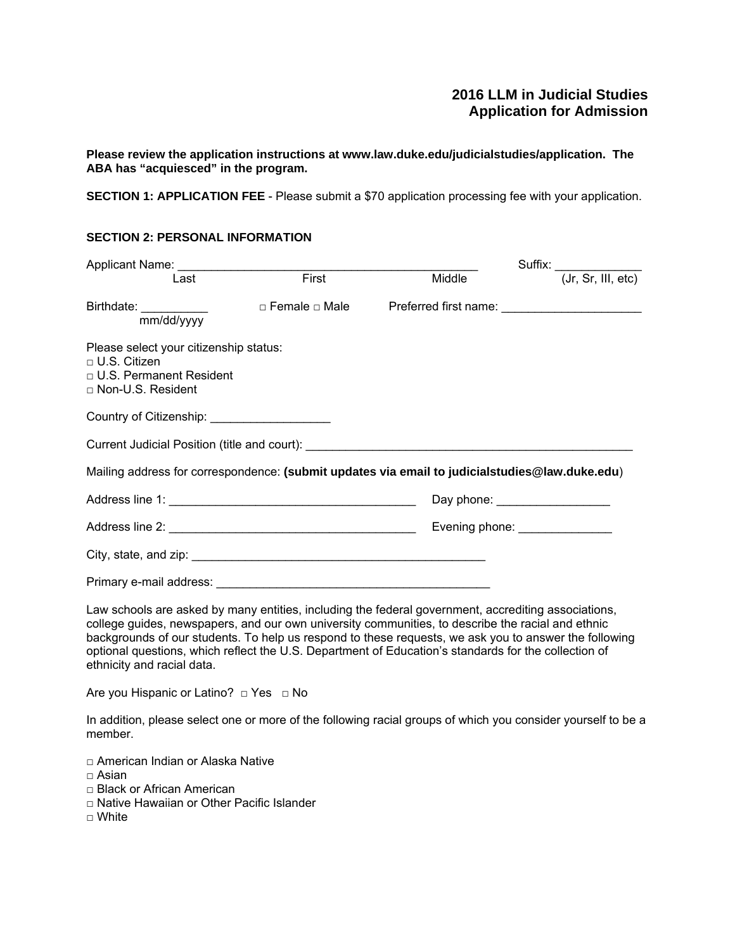# **2016 LLM in Judicial Studies Application for Admission**

**Please review the application instructions at www.law.duke.edu/judicialstudies/application. The ABA has "acquiesced" in the program.**

**SECTION 1: APPLICATION FEE** - Please submit a \$70 application processing fee with your application.

# **SECTION 2: PERSONAL INFORMATION**

| Last                                                                                                                                                                                                                                                                                                                                                                                                                      | First | Middle | Suffix: (Jr, Sr, III, etc)              |
|---------------------------------------------------------------------------------------------------------------------------------------------------------------------------------------------------------------------------------------------------------------------------------------------------------------------------------------------------------------------------------------------------------------------------|-------|--------|-----------------------------------------|
| Birthdate: ___________<br>mm/dd/yyyy                                                                                                                                                                                                                                                                                                                                                                                      |       |        |                                         |
| Please select your citizenship status:<br>$\sqcap$ U.S. Citizen<br>□ U.S. Permanent Resident<br>□ Non-U.S. Resident                                                                                                                                                                                                                                                                                                       |       |        |                                         |
| Country of Citizenship: _____________________                                                                                                                                                                                                                                                                                                                                                                             |       |        |                                         |
|                                                                                                                                                                                                                                                                                                                                                                                                                           |       |        |                                         |
| Mailing address for correspondence: (submit updates via email to judicialstudies@law.duke.edu)                                                                                                                                                                                                                                                                                                                            |       |        |                                         |
|                                                                                                                                                                                                                                                                                                                                                                                                                           |       |        | Day phone: <u>_____________________</u> |
|                                                                                                                                                                                                                                                                                                                                                                                                                           |       |        | Evening phone: <u>________________</u>  |
|                                                                                                                                                                                                                                                                                                                                                                                                                           |       |        |                                         |
|                                                                                                                                                                                                                                                                                                                                                                                                                           |       |        |                                         |
| Law schools are asked by many entities, including the federal government, accrediting associations,<br>college guides, newspapers, and our own university communities, to describe the racial and ethnic<br>backgrounds of our students. To help us respond to these requests, we ask you to answer the following<br>optional questions, which reflect the U.S. Department of Education's standards for the collection of |       |        |                                         |

ethnicity and racial data.

Are you Hispanic or Latino? □ Yes □ No

In addition, please select one or more of the following racial groups of which you consider yourself to be a member.

□ American Indian or Alaska Native

 $\Box$  Asian

- □ Black or African American
- □ Native Hawaiian or Other Pacific Islander

 $\Box$  White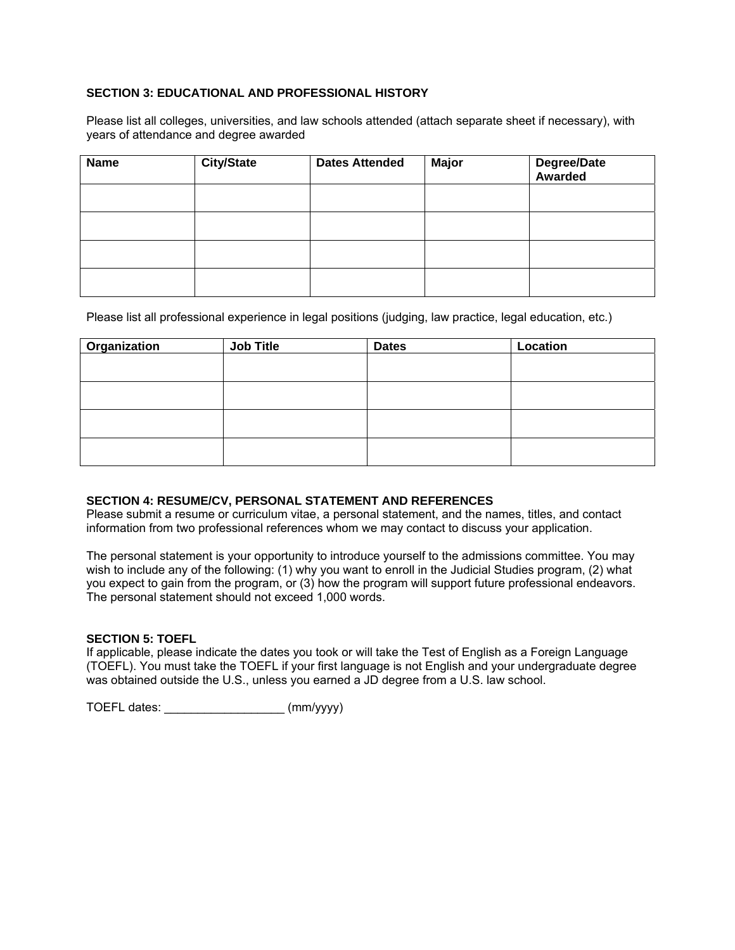# **SECTION 3: EDUCATIONAL AND PROFESSIONAL HISTORY**

Please list all colleges, universities, and law schools attended (attach separate sheet if necessary), with years of attendance and degree awarded

| <b>Name</b> | <b>City/State</b> | <b>Dates Attended</b> | <b>Major</b> | Degree/Date<br>Awarded |
|-------------|-------------------|-----------------------|--------------|------------------------|
|             |                   |                       |              |                        |
|             |                   |                       |              |                        |
|             |                   |                       |              |                        |
|             |                   |                       |              |                        |

Please list all professional experience in legal positions (judging, law practice, legal education, etc.)

| Organization | <b>Job Title</b> | <b>Dates</b> | Location |
|--------------|------------------|--------------|----------|
|              |                  |              |          |
|              |                  |              |          |
|              |                  |              |          |
|              |                  |              |          |

### **SECTION 4: RESUME/CV, PERSONAL STATEMENT AND REFERENCES**

Please submit a resume or curriculum vitae, a personal statement, and the names, titles, and contact information from two professional references whom we may contact to discuss your application.

The personal statement is your opportunity to introduce yourself to the admissions committee. You may wish to include any of the following: (1) why you want to enroll in the Judicial Studies program, (2) what you expect to gain from the program, or (3) how the program will support future professional endeavors. The personal statement should not exceed 1,000 words.

### **SECTION 5: TOEFL**

If applicable, please indicate the dates you took or will take the Test of English as a Foreign Language (TOEFL). You must take the TOEFL if your first language is not English and your undergraduate degree was obtained outside the U.S., unless you earned a JD degree from a U.S. law school.

TOEFL dates: \_\_\_\_\_\_\_\_\_\_\_\_\_\_\_\_\_\_ (mm/yyyy)